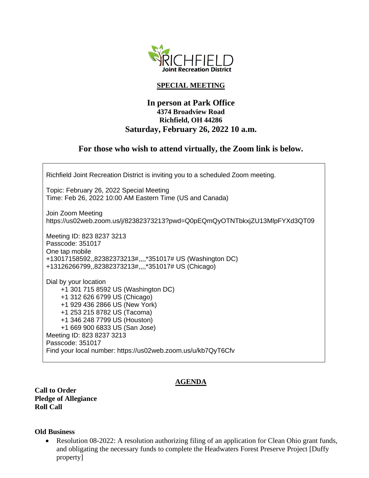

### **SPECIAL MEETING**

## **In person at Park Office 4374 Broadview Road Richfield, OH 44286 Saturday, February 26, 2022 10 a.m.**

# **For those who wish to attend virtually, the Zoom link is below.**

Richfield Joint Recreation District is inviting you to a scheduled Zoom meeting. Topic: February 26, 2022 Special Meeting Time: Feb 26, 2022 10:00 AM Eastern Time (US and Canada) Join Zoom Meeting https://us02web.zoom.us/j/82382373213?pwd=Q0pEQmQyOTNTbkxjZU13MlpFYXd3QT09 Meeting ID: 823 8237 3213 Passcode: 351017 One tap mobile +13017158592,,82382373213#,,,,\*351017# US (Washington DC) +13126266799,,82382373213#,,,,\*351017# US (Chicago) Dial by your location +1 301 715 8592 US (Washington DC) +1 312 626 6799 US (Chicago) +1 929 436 2866 US (New York) +1 253 215 8782 US (Tacoma) +1 346 248 7799 US (Houston) +1 669 900 6833 US (San Jose) Meeting ID: 823 8237 3213 Passcode: 351017 Find your local number: https://us02web.zoom.us/u/kb7QyT6Cfv

### **AGENDA**

**Call to Order Pledge of Allegiance Roll Call**

#### **Old Business**

• Resolution 08-2022: A resolution authorizing filing of an application for Clean Ohio grant funds, and obligating the necessary funds to complete the Headwaters Forest Preserve Project [Duffy property]